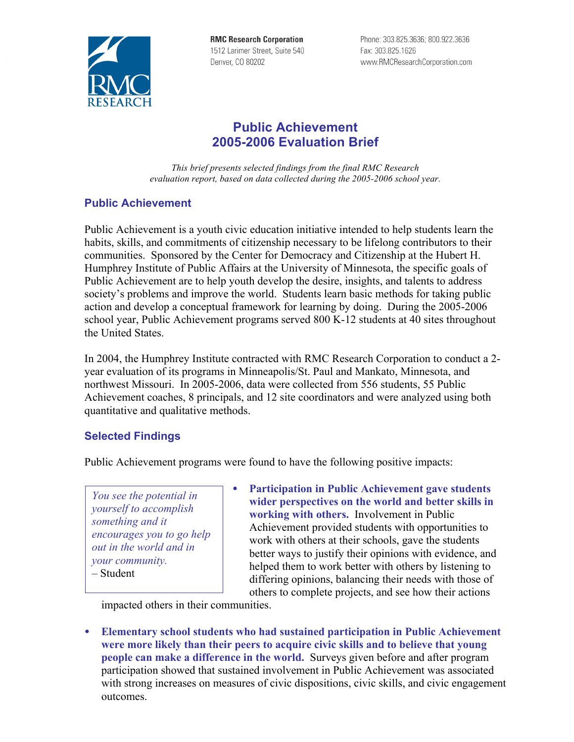

**RMC Research Corporation** 1512 Larimer Street, Suite 540 Denver, CO 80202

Phone: 303.825.3636; 800.922.3636 Fax: 303.825.1626 www.RMCResearchCorporation.com

## **Public Achievement 2005-2006 Evaluation Brief**

*This brief presents selected findings from the final RMC Research evaluation report, based on data collected during the 2005-2006 school year.*

## **Public Achievement**

Public Achievement is a youth civic education initiative intended to help students learn the habits, skills, and commitments of citizenship necessary to be lifelong contributors to their communities. Sponsored by the Center for Democracy and Citizenship at the Hubert H. Humphrey Institute of Public Affairs at the University of Minnesota, the specific goals of Public Achievement are to help youth develop the desire, insights, and talents to address society's problems and improve the world. Students learn basic methods for taking public action and develop a conceptual framework for learning by doing. During the 2005-2006 school year, Public Achievement programs served 800 K-12 students at 40 sites throughout the United States.

In 2004, the Humphrey Institute contracted with RMC Research Corporation to conduct a 2 year evaluation of its programs in Minneapolis/St. Paul and Mankato, Minnesota, and northwest Missouri. In 2005-2006, data were collected from 556 students, 55 Public Achievement coaches, 8 principals, and 12 site coordinators and were analyzed using both quantitative and qualitative methods.

## **Selected Findings**

Public Achievement programs were found to have the following positive impacts:

*You see the potential in yourself to accomplish something and it encourages you to go help out in the world and in your community.* – Student

• **Participation in Public Achievement gave students wider perspectives on the world and better skills in working with others.** Involvement in Public Achievement provided students with opportunities to work with others at their schools, gave the students better ways to justify their opinions with evidence, and helped them to work better with others by listening to differing opinions, balancing their needs with those of others to complete projects, and see how their actions

impacted others in their communities.

• **Elementary school students who had sustained participation in Public Achievement were more likely than their peers to acquire civic skills and to believe that young people can make a difference in the world.** Surveys given before and after program participation showed that sustained involvement in Public Achievement was associated with strong increases on measures of civic dispositions, civic skills, and civic engagement outcomes.